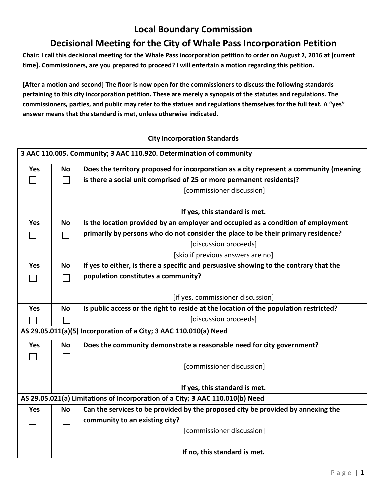## **Local Boundary Commission**

## **Decisional Meeting for the City of Whale Pass Incorporation Petition**

**Chair: I call this decisional meeting for the Whale Pass incorporation petition to order on August 2, 2016 at [current time]. Commissioners, are you prepared to proceed? I will entertain a motion regarding this petition.** 

**[After a motion and second] The floor is now open for the commissioners to discuss the following standards pertaining to this city incorporation petition. These are merely a synopsis of the statutes and regulations. The commissioners, parties, and public may refer to the statues and regulations themselves for the full text. A "yes" answer means that the standard is met, unless otherwise indicated.** 

## **City Incorporation Standards**

| 3 AAC 110.005. Community; 3 AAC 110.920. Determination of community |           |                                                                                        |
|---------------------------------------------------------------------|-----------|----------------------------------------------------------------------------------------|
| Yes                                                                 | <b>No</b> | Does the territory proposed for incorporation as a city represent a community (meaning |
|                                                                     | $\sim$    | is there a social unit comprised of 25 or more permanent residents)?                   |
|                                                                     |           | [commissioner discussion]                                                              |
|                                                                     |           |                                                                                        |
|                                                                     |           | If yes, this standard is met.                                                          |
| Yes                                                                 | <b>No</b> | Is the location provided by an employer and occupied as a condition of employment      |
|                                                                     |           | primarily by persons who do not consider the place to be their primary residence?      |
|                                                                     |           | [discussion proceeds]                                                                  |
|                                                                     |           | [skip if previous answers are no]                                                      |
| <b>Yes</b>                                                          | <b>No</b> | If yes to either, is there a specific and persuasive showing to the contrary that the  |
|                                                                     |           | population constitutes a community?                                                    |
|                                                                     |           |                                                                                        |
|                                                                     |           | [if yes, commissioner discussion]                                                      |
| <b>Yes</b>                                                          | <b>No</b> | Is public access or the right to reside at the location of the population restricted?  |
|                                                                     |           | [discussion proceeds]                                                                  |
|                                                                     |           | AS 29.05.011(a)(5) Incorporation of a City; 3 AAC 110.010(a) Need                      |
| <b>Yes</b>                                                          | <b>No</b> | Does the community demonstrate a reasonable need for city government?                  |
|                                                                     |           |                                                                                        |
|                                                                     |           | [commissioner discussion]                                                              |
|                                                                     |           |                                                                                        |
|                                                                     |           | If yes, this standard is met.                                                          |
|                                                                     |           | AS 29.05.021(a) Limitations of Incorporation of a City; 3 AAC 110.010(b) Need          |
| <b>Yes</b>                                                          | <b>No</b> | Can the services to be provided by the proposed city be provided by annexing the       |
|                                                                     |           | community to an existing city?                                                         |
|                                                                     |           | [commissioner discussion]                                                              |
|                                                                     |           |                                                                                        |
|                                                                     |           | If no, this standard is met.                                                           |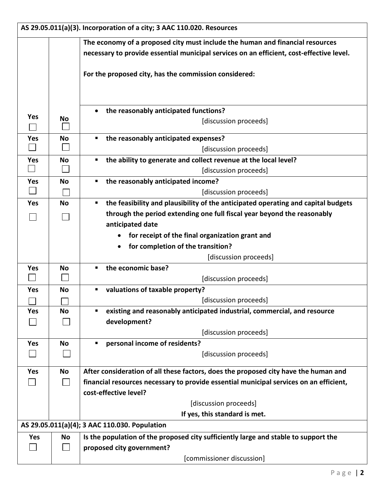| AS 29.05.011(a)(3). Incorporation of a city; 3 AAC 110.020. Resources |           |                                                                                          |
|-----------------------------------------------------------------------|-----------|------------------------------------------------------------------------------------------|
|                                                                       |           | The economy of a proposed city must include the human and financial resources            |
|                                                                       |           | necessary to provide essential municipal services on an efficient, cost-effective level. |
|                                                                       |           |                                                                                          |
|                                                                       |           | For the proposed city, has the commission considered:                                    |
|                                                                       |           |                                                                                          |
|                                                                       |           |                                                                                          |
|                                                                       |           | the reasonably anticipated functions?<br>$\bullet$                                       |
| <b>Yes</b>                                                            | No        | [discussion proceeds]                                                                    |
| Yes                                                                   | No        | the reasonably anticipated expenses?<br>п                                                |
|                                                                       |           | [discussion proceeds]                                                                    |
| Yes                                                                   | <b>No</b> | the ability to generate and collect revenue at the local level?                          |
|                                                                       |           | [discussion proceeds]                                                                    |
| <b>Yes</b>                                                            | <b>No</b> | the reasonably anticipated income?<br>п                                                  |
|                                                                       |           | [discussion proceeds]                                                                    |
| <b>Yes</b>                                                            | <b>No</b> | the feasibility and plausibility of the anticipated operating and capital budgets<br>ш   |
|                                                                       |           | through the period extending one full fiscal year beyond the reasonably                  |
|                                                                       |           | anticipated date                                                                         |
|                                                                       |           | for receipt of the final organization grant and                                          |
|                                                                       |           | for completion of the transition?                                                        |
|                                                                       |           | [discussion proceeds]                                                                    |
| <b>Yes</b>                                                            | No        | the economic base?                                                                       |
|                                                                       |           | [discussion proceeds]                                                                    |
| <b>Yes</b>                                                            | No        | valuations of taxable property?                                                          |
|                                                                       |           | [discussion proceeds]                                                                    |
| Yes                                                                   | <b>No</b> | existing and reasonably anticipated industrial, commercial, and resource<br>٠            |
|                                                                       |           | development?                                                                             |
|                                                                       |           | [discussion proceeds]                                                                    |
| <b>Yes</b>                                                            | <b>No</b> | personal income of residents?                                                            |
|                                                                       |           | [discussion proceeds]                                                                    |
| Yes                                                                   | No        | After consideration of all these factors, does the proposed city have the human and      |
|                                                                       |           | financial resources necessary to provide essential municipal services on an efficient,   |
|                                                                       |           | cost-effective level?                                                                    |
|                                                                       |           | [discussion proceeds]                                                                    |
|                                                                       |           | If yes, this standard is met.                                                            |
|                                                                       |           | AS 29.05.011(a)(4); 3 AAC 110.030. Population                                            |
| Yes                                                                   | No        | Is the population of the proposed city sufficiently large and stable to support the      |
|                                                                       |           | proposed city government?                                                                |
|                                                                       |           | [commissioner discussion]                                                                |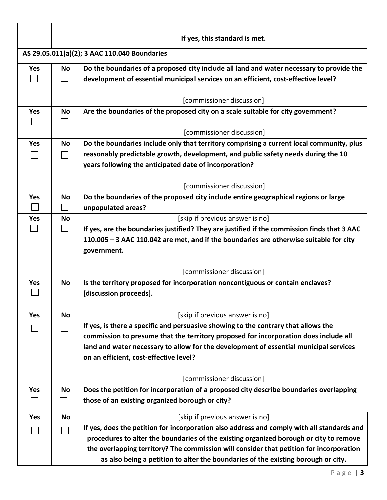|            |                | If yes, this standard is met.                                                                            |
|------------|----------------|----------------------------------------------------------------------------------------------------------|
|            |                | AS 29.05.011(a)(2); 3 AAC 110.040 Boundaries                                                             |
| <b>Yes</b> | <b>No</b>      | Do the boundaries of a proposed city include all land and water necessary to provide the                 |
|            |                | development of essential municipal services on an efficient, cost-effective level?                       |
|            |                |                                                                                                          |
|            |                | [commissioner discussion]                                                                                |
| Yes        | <b>No</b>      | Are the boundaries of the proposed city on a scale suitable for city government?                         |
|            |                |                                                                                                          |
|            |                | [commissioner discussion]                                                                                |
| Yes        | No             | Do the boundaries include only that territory comprising a current local community, plus                 |
|            |                | reasonably predictable growth, development, and public safety needs during the 10                        |
|            |                | years following the anticipated date of incorporation?                                                   |
|            |                | [commissioner discussion]                                                                                |
| <b>Yes</b> | <b>No</b>      | Do the boundaries of the proposed city include entire geographical regions or large                      |
|            |                | unpopulated areas?                                                                                       |
| <b>Yes</b> | <b>No</b>      | [skip if previous answer is no]                                                                          |
|            | $\Box$         | If yes, are the boundaries justified? They are justified if the commission finds that 3 AAC              |
|            |                | 110.005 - 3 AAC 110.042 are met, and if the boundaries are otherwise suitable for city                   |
|            |                | government.                                                                                              |
|            |                |                                                                                                          |
|            |                | [commissioner discussion]                                                                                |
| <b>Yes</b> | No             | Is the territory proposed for incorporation noncontiguous or contain enclaves?<br>[discussion proceeds]. |
|            |                |                                                                                                          |
| <b>Yes</b> | <b>No</b>      | [skip if previous answer is no]                                                                          |
|            |                | If yes, is there a specific and persuasive showing to the contrary that allows the                       |
|            |                | commission to presume that the territory proposed for incorporation does include all                     |
|            |                | land and water necessary to allow for the development of essential municipal services                    |
|            |                | on an efficient, cost-effective level?                                                                   |
|            |                |                                                                                                          |
|            |                | [commissioner discussion]                                                                                |
| Yes        | No             | Does the petition for incorporation of a proposed city describe boundaries overlapping                   |
|            | $\blacksquare$ | those of an existing organized borough or city?                                                          |
| Yes        | No             | [skip if previous answer is no]                                                                          |
|            |                | If yes, does the petition for incorporation also address and comply with all standards and               |
|            |                | procedures to alter the boundaries of the existing organized borough or city to remove                   |
|            |                | the overlapping territory? The commission will consider that petition for incorporation                  |
|            |                | as also being a petition to alter the boundaries of the existing borough or city.                        |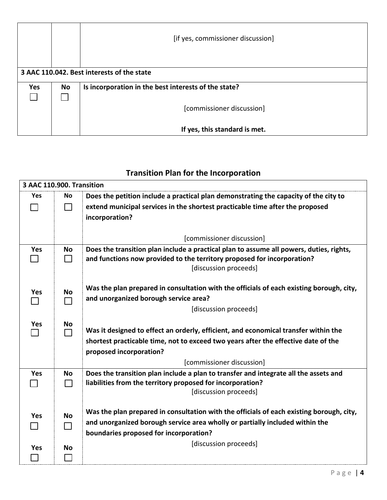|            |    | [if yes, commissioner discussion]                    |
|------------|----|------------------------------------------------------|
|            |    | 3 AAC 110.042. Best interests of the state           |
| <b>Yes</b> | No | Is incorporation in the best interests of the state? |
|            |    |                                                      |
|            |    | [commissioner discussion]                            |
|            |    |                                                      |
|            |    | If yes, this standard is met.                        |

## **Transition Plan for the Incorporation**

| 3 AAC 110.900. Transition |           |                                                                                          |
|---------------------------|-----------|------------------------------------------------------------------------------------------|
| <b>Yes</b>                | <b>No</b> | Does the petition include a practical plan demonstrating the capacity of the city to     |
|                           |           | extend municipal services in the shortest practicable time after the proposed            |
|                           |           | incorporation?                                                                           |
|                           |           |                                                                                          |
|                           |           | [commissioner discussion]                                                                |
| Yes                       | No        | Does the transition plan include a practical plan to assume all powers, duties, rights,  |
|                           | $\sim$    | and functions now provided to the territory proposed for incorporation?                  |
|                           |           | [discussion proceeds]                                                                    |
|                           |           | Was the plan prepared in consultation with the officials of each existing borough, city, |
| <b>Yes</b>                | <b>No</b> | and unorganized borough service area?                                                    |
|                           |           | [discussion proceeds]                                                                    |
|                           |           |                                                                                          |
| <b>Yes</b>                | No<br>П   | Was it designed to effect an orderly, efficient, and economical transfer within the      |
|                           |           | shortest practicable time, not to exceed two years after the effective date of the       |
|                           |           | proposed incorporation?                                                                  |
|                           |           | [commissioner discussion]                                                                |
| Yes                       | <b>No</b> | Does the transition plan include a plan to transfer and integrate all the assets and     |
|                           |           | liabilities from the territory proposed for incorporation?                               |
|                           |           | [discussion proceeds]                                                                    |
|                           |           | Was the plan prepared in consultation with the officials of each existing borough, city, |
| <b>Yes</b>                | <b>No</b> | and unorganized borough service area wholly or partially included within the             |
|                           | ΙI        | boundaries proposed for incorporation?                                                   |
|                           |           | [discussion proceeds]                                                                    |
| <b>Yes</b>                | <b>No</b> |                                                                                          |
|                           |           |                                                                                          |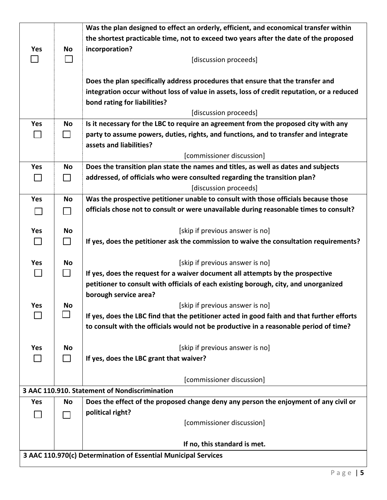|                                                                |                | Was the plan designed to effect an orderly, efficient, and economical transfer within      |
|----------------------------------------------------------------|----------------|--------------------------------------------------------------------------------------------|
|                                                                |                | the shortest practicable time, not to exceed two years after the date of the proposed      |
| <b>Yes</b>                                                     | No             | incorporation?                                                                             |
|                                                                |                | [discussion proceeds]                                                                      |
|                                                                |                |                                                                                            |
|                                                                |                | Does the plan specifically address procedures that ensure that the transfer and            |
|                                                                |                | integration occur without loss of value in assets, loss of credit reputation, or a reduced |
|                                                                |                | bond rating for liabilities?                                                               |
|                                                                |                | [discussion proceeds]                                                                      |
| Yes                                                            | No             | Is it necessary for the LBC to require an agreement from the proposed city with any        |
|                                                                | $\blacksquare$ | party to assume powers, duties, rights, and functions, and to transfer and integrate       |
|                                                                |                | assets and liabilities?                                                                    |
|                                                                |                | [commissioner discussion]                                                                  |
| Yes                                                            | No             | Does the transition plan state the names and titles, as well as dates and subjects         |
| $\mathsf{L}$                                                   | $\Box$         | addressed, of officials who were consulted regarding the transition plan?                  |
|                                                                |                | [discussion proceeds]                                                                      |
| <b>Yes</b>                                                     | <b>No</b>      | Was the prospective petitioner unable to consult with those officials because those        |
|                                                                |                | officials chose not to consult or were unavailable during reasonable times to consult?     |
|                                                                |                |                                                                                            |
| Yes                                                            | No             | [skip if previous answer is no]                                                            |
|                                                                | $\Box$         | If yes, does the petitioner ask the commission to waive the consultation requirements?     |
|                                                                |                |                                                                                            |
| <b>Yes</b>                                                     | No             | [skip if previous answer is no]                                                            |
| $\mathsf{L}$                                                   | $\mathsf{L}$   | If yes, does the request for a waiver document all attempts by the prospective             |
|                                                                |                | petitioner to consult with officials of each existing borough, city, and unorganized       |
|                                                                |                | borough service area?                                                                      |
| Yes                                                            | No             | [skip if previous answer is no]                                                            |
|                                                                |                | If yes, does the LBC find that the petitioner acted in good faith and that further efforts |
|                                                                |                | to consult with the officials would not be productive in a reasonable period of time?      |
|                                                                |                |                                                                                            |
| Yes                                                            | No             | [skip if previous answer is no]                                                            |
|                                                                |                | If yes, does the LBC grant that waiver?                                                    |
|                                                                |                |                                                                                            |
|                                                                |                | [commissioner discussion]                                                                  |
|                                                                |                | 3 AAC 110.910. Statement of Nondiscrimination                                              |
| <b>Yes</b>                                                     | No             | Does the effect of the proposed change deny any person the enjoyment of any civil or       |
|                                                                |                | political right?                                                                           |
|                                                                |                | [commissioner discussion]                                                                  |
|                                                                |                |                                                                                            |
|                                                                |                | If no, this standard is met.                                                               |
| 3 AAC 110.970(c) Determination of Essential Municipal Services |                |                                                                                            |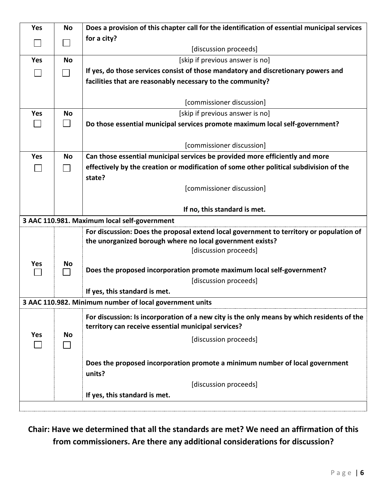| <b>Yes</b> | <b>No</b> | Does a provision of this chapter call for the identification of essential municipal services |
|------------|-----------|----------------------------------------------------------------------------------------------|
|            |           | for a city?                                                                                  |
|            |           | [discussion proceeds]                                                                        |
| <b>Yes</b> | <b>No</b> | [skip if previous answer is no]                                                              |
|            |           | If yes, do those services consist of those mandatory and discretionary powers and            |
|            |           | facilities that are reasonably necessary to the community?                                   |
|            |           |                                                                                              |
|            |           | [commissioner discussion]                                                                    |
| <b>Yes</b> | <b>No</b> | [skip if previous answer is no]                                                              |
|            |           | Do those essential municipal services promote maximum local self-government?                 |
|            |           |                                                                                              |
|            |           | [commissioner discussion]                                                                    |
| <b>Yes</b> | No        | Can those essential municipal services be provided more efficiently and more                 |
|            |           | effectively by the creation or modification of some other political subdivision of the       |
|            |           | state?                                                                                       |
|            |           | [commissioner discussion]                                                                    |
|            |           |                                                                                              |
|            |           | If no, this standard is met.                                                                 |
|            |           | 3 AAC 110.981. Maximum local self-government                                                 |
|            |           | For discussion: Does the proposal extend local government to territory or population of      |
|            |           | the unorganized borough where no local government exists?                                    |
|            |           | [discussion proceeds]                                                                        |
| Yes        | No        |                                                                                              |
|            |           | Does the proposed incorporation promote maximum local self-government?                       |
|            |           | [discussion proceeds]                                                                        |
|            |           | If yes, this standard is met.                                                                |
|            |           | 3 AAC 110.982. Minimum number of local government units                                      |
|            |           | For discussion: Is incorporation of a new city is the only means by which residents of the   |
|            |           | territory can receive essential municipal services?                                          |
| Yes        | No        | [discussion proceeds]                                                                        |
|            |           |                                                                                              |
|            |           | Does the proposed incorporation promote a minimum number of local government                 |
|            |           | units?                                                                                       |
|            |           | [discussion proceeds]                                                                        |
|            |           | If yes, this standard is met.                                                                |
|            |           |                                                                                              |
|            |           |                                                                                              |

**Chair: Have we determined that all the standards are met? We need an affirmation of this from commissioners. Are there any additional considerations for discussion?**